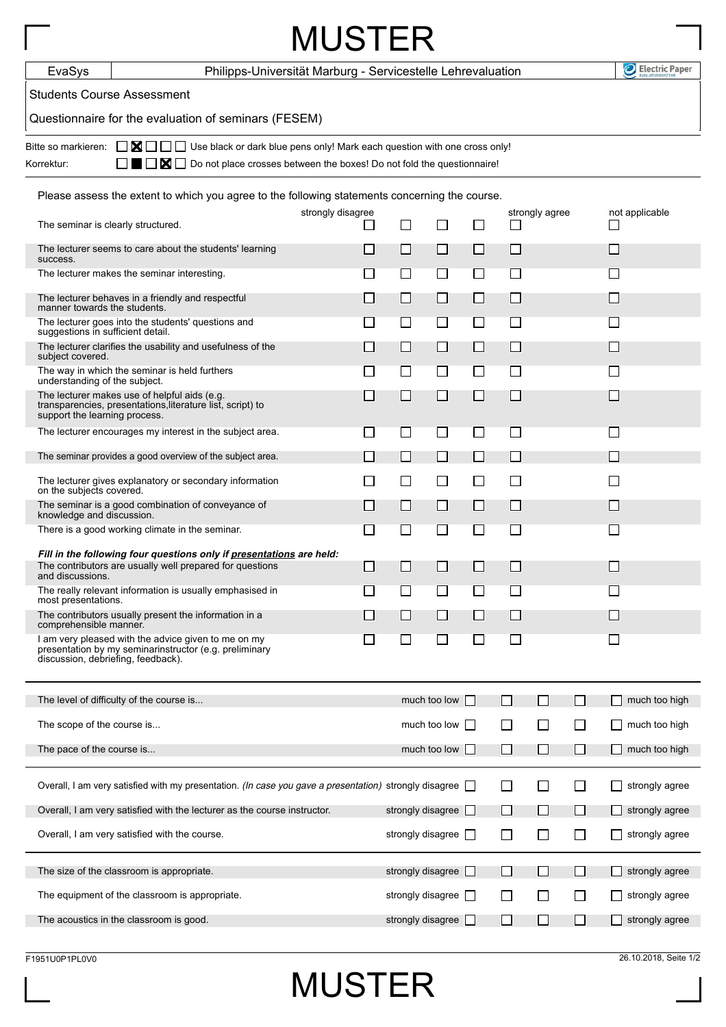| <b>MUSTER</b>                                                                                                                                                                                                                                                                    |                                                                                                                                  |                                                             |                          |              |        |                             |                |                |                                               |  |  |
|----------------------------------------------------------------------------------------------------------------------------------------------------------------------------------------------------------------------------------------------------------------------------------|----------------------------------------------------------------------------------------------------------------------------------|-------------------------------------------------------------|--------------------------|--------------|--------|-----------------------------|----------------|----------------|-----------------------------------------------|--|--|
| EvaSys                                                                                                                                                                                                                                                                           |                                                                                                                                  | Philipps-Universität Marburg - Servicestelle Lehrevaluation |                          |              |        |                             |                |                | Electric Paper                                |  |  |
| <b>Students Course Assessment</b>                                                                                                                                                                                                                                                |                                                                                                                                  |                                                             |                          |              |        |                             |                |                |                                               |  |  |
| Questionnaire for the evaluation of seminars (FESEM)                                                                                                                                                                                                                             |                                                                                                                                  |                                                             |                          |              |        |                             |                |                |                                               |  |  |
| $\Box$ $\blacksquare$ $\Box$ Use black or dark blue pens only! Mark each question with one cross only!<br>Bitte so markieren:<br>$\blacksquare \square \triangleright \blacksquare \square$ Do not place crosses between the boxes! Do not fold the questionnaire!<br>Korrektur: |                                                                                                                                  |                                                             |                          |              |        |                             |                |                |                                               |  |  |
| Please assess the extent to which you agree to the following statements concerning the course.                                                                                                                                                                                   |                                                                                                                                  |                                                             |                          |              |        |                             |                |                |                                               |  |  |
| The seminar is clearly structured.                                                                                                                                                                                                                                               |                                                                                                                                  | strongly disagree<br>$\overline{\phantom{a}}$               | ⊔<br>ΙI                  |              | $\Box$ | ப                           | strongly agree |                | not applicable<br>$\mathcal{L}_{\mathcal{A}}$ |  |  |
| The lecturer seems to care about the students' learning<br>success.                                                                                                                                                                                                              |                                                                                                                                  | H                                                           | ⊔                        | $\Box$       | $\Box$ | $\mathcal{L}$               |                |                | $\Box$                                        |  |  |
| The lecturer makes the seminar interesting.                                                                                                                                                                                                                                      |                                                                                                                                  | $\blacksquare$                                              | $\Box$                   | П            | П      | П                           |                |                | $\blacksquare$                                |  |  |
| The lecturer behaves in a friendly and respectful<br>manner towards the students.                                                                                                                                                                                                |                                                                                                                                  | $\Box$                                                      | $\Box$                   | $\Box$       | □      | $\Box$                      |                |                | □                                             |  |  |
| The lecturer goes into the students' questions and<br>suggestions in sufficient detail.                                                                                                                                                                                          |                                                                                                                                  | $\mathcal{L}$                                               | $\Box$                   | $\Box$       | ப      | $\mathcal{L}$               |                |                | $\Box$                                        |  |  |
| The lecturer clarifies the usability and usefulness of the<br>subject covered.                                                                                                                                                                                                   |                                                                                                                                  | $\Box$                                                      | $\Box$                   | □            | □      | $\Box$                      |                |                | П                                             |  |  |
| The way in which the seminar is held furthers<br>understanding of the subject.                                                                                                                                                                                                   |                                                                                                                                  | $\blacksquare$                                              | ⊔                        | $\Box$       | $\Box$ | $\mathcal{L}_{\mathcal{A}}$ |                |                | ⊔                                             |  |  |
| support the learning process.                                                                                                                                                                                                                                                    | The lecturer makes use of helpful aids (e.g.<br>transparencies, presentations, literature list, script) to                       | $\Box$                                                      | $\Box$                   | $\Box$       | $\Box$ | $\Box$                      |                |                | $\Box$                                        |  |  |
|                                                                                                                                                                                                                                                                                  | The lecturer encourages my interest in the subject area.                                                                         | $\Box$                                                      | ப                        | ⊔            | ⊔      | $\mathcal{L}$               |                |                | $\Box$                                        |  |  |
|                                                                                                                                                                                                                                                                                  | The seminar provides a good overview of the subject area.                                                                        | $\Box$                                                      | П                        | П            | П      | $\Box$                      |                |                | $\blacksquare$                                |  |  |
| on the subjects covered.                                                                                                                                                                                                                                                         | The lecturer gives explanatory or secondary information                                                                          | $\Box$                                                      | $\Box$                   | $\Box$       | $\Box$ | $\Box$                      |                |                | $\blacksquare$                                |  |  |
| knowledge and discussion.                                                                                                                                                                                                                                                        | The seminar is a good combination of conveyance of                                                                               | ⊔                                                           | ⊔                        | $\Box$       | ⊔      | $\Box$                      |                |                | $\Box$                                        |  |  |
|                                                                                                                                                                                                                                                                                  | There is a good working climate in the seminar.                                                                                  | $\Box$                                                      | $\blacksquare$           | П            | П      | $\Box$                      |                |                | $\overline{\phantom{a}}$                      |  |  |
| and discussions.                                                                                                                                                                                                                                                                 | Fill in the following four questions only if presentations are held:<br>The contributors are usually well prepared for questions |                                                             |                          |              |        |                             |                |                |                                               |  |  |
| most presentations.                                                                                                                                                                                                                                                              | The really relevant information is usually emphasised in                                                                         | $\blacksquare$                                              | $\Box$                   | $\Box$       | $\Box$ | $\Box$                      |                |                | $\mathcal{L}$                                 |  |  |
| comprehensible manner.                                                                                                                                                                                                                                                           | The contributors usually present the information in a                                                                            | ⊔                                                           | ⊔                        | $\Box$       | $\Box$ | $\Box$                      |                |                | ∐                                             |  |  |
| discussion, debriefing, feedback).                                                                                                                                                                                                                                               | I am very pleased with the advice given to me on my<br>presentation by my seminarinstructor (e.g. preliminary                    | $\mathsf{L}$                                                | $\Box$                   | $\Box$       | $\Box$ | □                           |                |                | ப                                             |  |  |
|                                                                                                                                                                                                                                                                                  | The level of difficulty of the course is                                                                                         |                                                             |                          | much too low |        | $\Box$                      | $\Box$         | $\mathbb{R}^n$ | much too high                                 |  |  |
| The scope of the course is                                                                                                                                                                                                                                                       |                                                                                                                                  |                                                             |                          | much too low |        | ⊔                           | $\Box$         | $\Box$         | much too high                                 |  |  |
| The pace of the course is                                                                                                                                                                                                                                                        |                                                                                                                                  |                                                             |                          | much too low |        | П                           | □              | □              | much too high                                 |  |  |
|                                                                                                                                                                                                                                                                                  | Overall, I am very satisfied with my presentation. (In case you gave a presentation) strongly disagree                           |                                                             |                          |              |        | ΙI                          | П              | $\perp$        | strongly agree                                |  |  |
| Overall, I am very satisfied with the lecturer as the course instructor.                                                                                                                                                                                                         |                                                                                                                                  |                                                             | strongly disagree        |              | H.     | ⊔                           | □              | $\Box$         | strongly agree                                |  |  |
|                                                                                                                                                                                                                                                                                  | Overall, I am very satisfied with the course.                                                                                    |                                                             | strongly disagree $\Box$ |              |        | □                           | □              | □              | strongly agree                                |  |  |
|                                                                                                                                                                                                                                                                                  | The size of the classroom is appropriate.                                                                                        |                                                             | strongly disagree        |              |        | $\Box$                      | ∐              | $\mathsf{L}$   | strongly agree                                |  |  |
|                                                                                                                                                                                                                                                                                  | The equipment of the classroom is appropriate.                                                                                   |                                                             | strongly disagree $\Box$ |              |        | $\Box$                      | □              | $\Box$         | strongly agree                                |  |  |
|                                                                                                                                                                                                                                                                                  | The acoustics in the classroom is good.                                                                                          |                                                             | strongly disagree        |              |        | $\Box$                      | □              | $\Box$         | strongly agree                                |  |  |

MUSTER